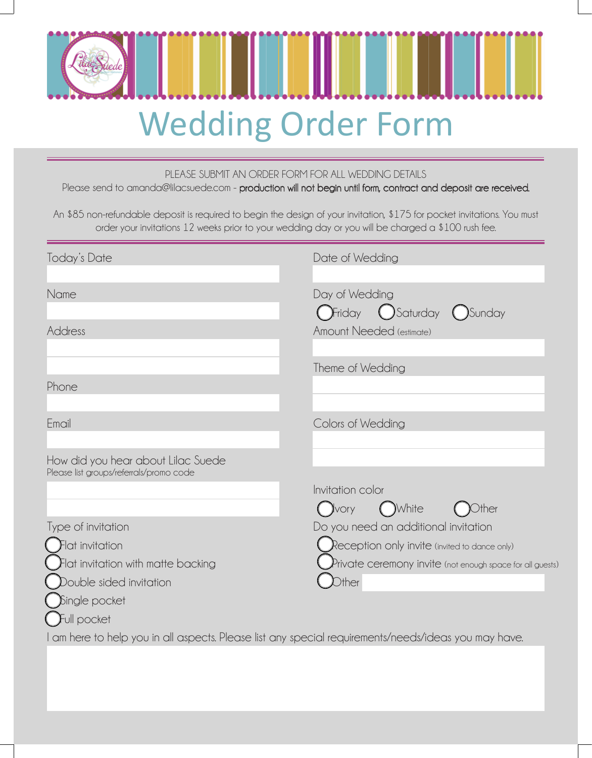

#### PLEASE SUBMIT AN ORDER FORM FOR ALL WEDDING DETAILS

Please send to amanda@lilacsuede.com - production will not begin until form, contract and deposit are received.

An \$85 non-refundable deposit is required to begin the design of your invitation, \$175 for pocket invitations. You must order your invitations 12 weeks prior to your wedding day or you will be charged a \$100 rush fee.

| Today's Date                                                                  | Date of Wedding                                                                                      |
|-------------------------------------------------------------------------------|------------------------------------------------------------------------------------------------------|
| Name                                                                          | Day of Wedding<br>$\int$ Friday $\bigcirc$ Saturday $\bigcirc$ Sunday                                |
| Address                                                                       | Amount Needed (estimate)                                                                             |
|                                                                               | Theme of Wedding                                                                                     |
| Phone                                                                         |                                                                                                      |
| Email                                                                         | Colors of Wedding                                                                                    |
| How did you hear about Lilac Suede<br>Please list groups/referrals/promo code |                                                                                                      |
|                                                                               | Invitation color<br><b>J</b> vory<br>)White<br>Other                                                 |
| Type of invitation                                                            | Do you need an additional invitation                                                                 |
| $F$ lat invitation                                                            | Reception only invite (invited to dance only)                                                        |
| Flat invitation with matte backing                                            | $P$ rivate ceremony invite (not enough space for all guests)                                         |
| Double sided invitation                                                       | $\mathsf{D}$ ther                                                                                    |
| Single pocket                                                                 |                                                                                                      |
| Full pocket                                                                   |                                                                                                      |
|                                                                               | I am here to help you in all aspects. Please list any special requirements/needs/ideas you may have. |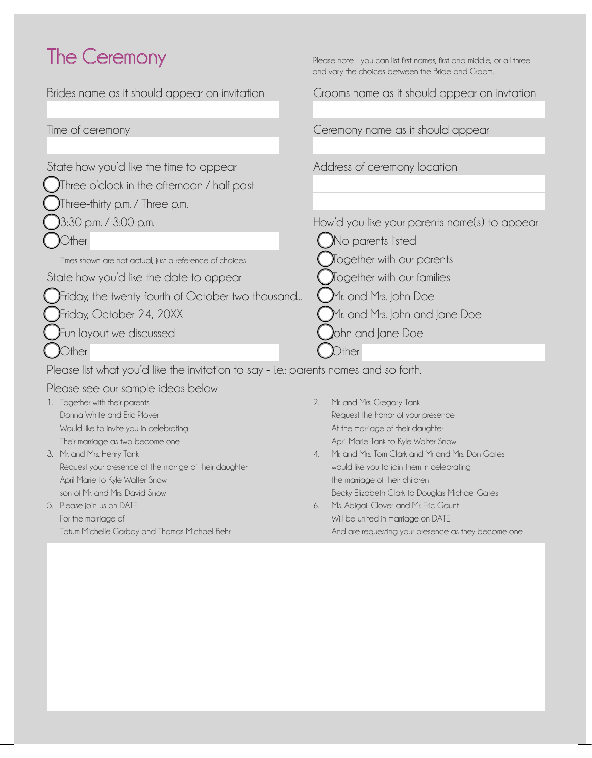# The Ceremony Please note - you can list first names, first and middle, or all three

Brides name as it should appear on invitation Grooms name as it should appear on invtation Time of ceremony Ceremony name as it should appear State how you'd like the time to appear **Address** of ceremony location lThree o'clock in the afternoon / half past lThree-thirty p.m. / Three p.m. l3:30 p.m. / 3:00 p.m. How'd you like your parents name(s) to appear lOther llNo parents listed Times shown are not actual, just a reference of choices  $\qquad \qquad \bigcap$  Together with our parents State how you'd like the date to appear  $\bigcirc$   $\bigcirc$   $\bigcirc$  ogether with our families )Friday, the twenty-fourth of October two thousand...  $\,$  ( )Mr. and Mrs. John Doe  $\int$ Friday, October 24, 20XX  $\int$ Mr. and Mrs. John and Jane Doe ) Fun layout we discussed latter than  $\bigcirc$  ohn and Jane Doe **lack of the contract of the contract of the contract of the contract of the contract of the contract of the contract of the contract of the contract of the contract of the contract of the contract of the contract of the c** Please list what you'd like the invitation to say - i.e.: parents names and so forth. and vary the choices between the Bride and Groom.

Please see our sample ideas below

- 1. Together with their parents 2. Mr. and Mrs. Gregory Tank
- 3. Mr. and Mrs. Henry Tank 4. Mrs. Tom Clark and Mrs. Tom Clark and Mrs. Tom Clark and Mrs and Mrs. Don Gates Request your presence at the marrige of their daughter would like you to join them in celebrating April Marie to Kyle Walter Snow the marriage of their children son of Mr. and Mrs. David Snow Becky Elizabeth Clark to Douglas Michael Gates
- For the marriage of Will be united in marriage on DATE
- Donna White and Eric Plover Request the honor of your presence Would like to invite you in celebrating At the marriage of their daughter At the marriage of their daughter Their marriage as two become one April Marie Tank to Kyle Walter Snow
	-
- 5. Please join us on DATE 6. Ms. Abigail Clover and Mr. Eric Gaunt Tatum Michelle Garboy and Thomas Michael Behr And are requesting your presence as they become one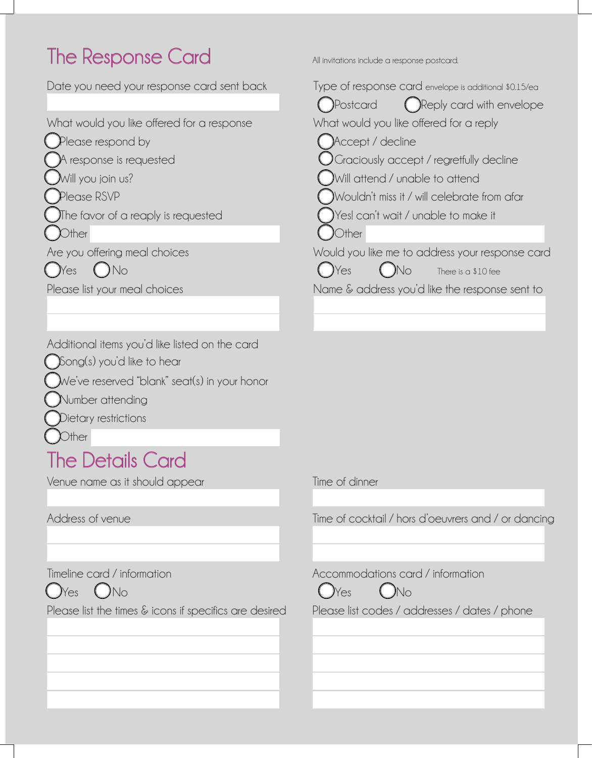# The Response Card All invitations include a response postcard.

| Date you need your response card sent back                                                                                                                        | Type of response card envelope is additional $$0.15$ /ea $^{\circ}$                                                                                                                                                                             |
|-------------------------------------------------------------------------------------------------------------------------------------------------------------------|-------------------------------------------------------------------------------------------------------------------------------------------------------------------------------------------------------------------------------------------------|
| What would you like offered for a response<br>Please respond by<br>A response is requested<br>Will you join us?<br>Please RSVP                                    | (C) Reply card with envelope<br>(DPostcard<br>What would you like offered for a reply<br>Accept / decline<br>$\bigcup$ Graciously accept / regretfully decline<br>Will attend / unable to attend<br>Wouldn't miss it / will celebrate from afar |
| The favor of a reaply is requested                                                                                                                                | Yes! can't wait / unable to make it                                                                                                                                                                                                             |
| Other                                                                                                                                                             | Other                                                                                                                                                                                                                                           |
| Are you offering meal choices<br>Nes<br>)No                                                                                                                       | Would you like me to address your response car<br>)Yes<br>)No<br>There is a \$10 fee                                                                                                                                                            |
| Please list your meal choices                                                                                                                                     | Name $\&$ address you'd like the response sent to                                                                                                                                                                                               |
|                                                                                                                                                                   |                                                                                                                                                                                                                                                 |
| Additional items you'd like listed on the card<br>$\sum$ Song(s) you'd like to hear<br>$\bigcup$ We've reserved "blank" seat(s) in your honor<br>Number attending |                                                                                                                                                                                                                                                 |
|                                                                                                                                                                   |                                                                                                                                                                                                                                                 |

lDietary restrictions

**C**ther

#### The Details Card

Venue name as it should appear Time of dinner



Please list the times & icons if specifics are desired Please list codes / addresses / dates / phone

| Date you need your response card sent back | Type of response card envelope is additional \$0.15/ea<br>Reply card with envelope<br>Postcard |
|--------------------------------------------|------------------------------------------------------------------------------------------------|
| What would you like offered for a response | What would you like offered for a reply                                                        |
| Please respond by                          | Accept / decline                                                                               |
| A response is requested                    | $\bigcup$ Graciously accept / regretfully decline                                              |
| $\mathcal{M}$ ill you join us?             | Will attend / unable to attend                                                                 |
| Please RSVP                                | Wouldn't miss it / will celebrate from afar                                                    |
| The favor of a reaply is requested         | Yes! can't wait / unable to make it                                                            |
| )ther                                      | Other                                                                                          |
| Are you offering meal choices              | Would you like me to address your response card                                                |
| No<br><b>Yes</b>                           | Yes<br>)No<br>There is a \$10 fee                                                              |
| Please list your meal choices              | Name $\&$ address you'd like the response sent to                                              |
|                                            |                                                                                                |

Address of venue Time of cocktail / hors d'oeuvrers and / or dancing

Timeline card / information Accommodations card / information